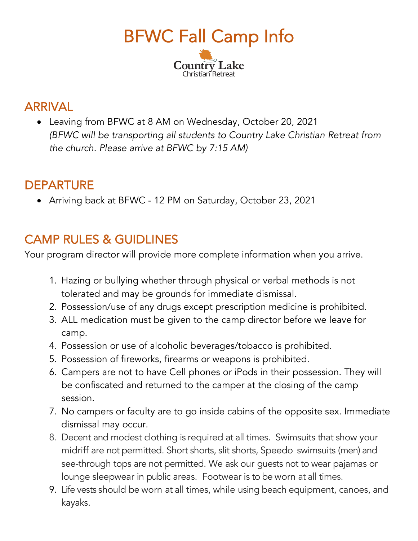

## ARRIVAL

• Leaving from BFWC at 8 AM on Wednesday, October 20, 2021 *(BFWC will be transporting all students to Country Lake Christian Retreat from the church. Please arrive at BFWC by 7:15 AM)*

## DEPARTURE

• Arriving back at BFWC - 12 PM on Saturday, October 23, 2021

## CAMP RULES & GUIDLINES

Your program director will provide more complete information when you arrive.

- 1. Hazing or bullying whether through physical or verbal methods is not tolerated and may be grounds for immediate dismissal.
- 2. Possession/use of any drugs except prescription medicine is prohibited.
- 3. ALL medication must be given to the camp director before we leave for camp.
- 4. Possession or use of alcoholic beverages/tobacco is prohibited.
- 5. Possession of fireworks, firearms or weapons is prohibited.
- 6. Campers are not to have Cell phones or iPods in their possession. They will be confiscated and returned to the camper at the closing of the camp session.
- 7. No campers or faculty are to go inside cabins of the opposite sex. Immediate dismissal may occur.
- 8. Decent and modest clothing is required at all times. Swimsuits that show your midriff are not permitted. Short shorts, slit shorts, Speedo swimsuits (men) and see-through tops are not permitted. We ask our guests not to wear pajamas or lounge sleepwear in public areas. Footwear is to be worn at all times.
- 9. Life vests should be worn at all times, while using beach equipment, canoes, and kayaks.